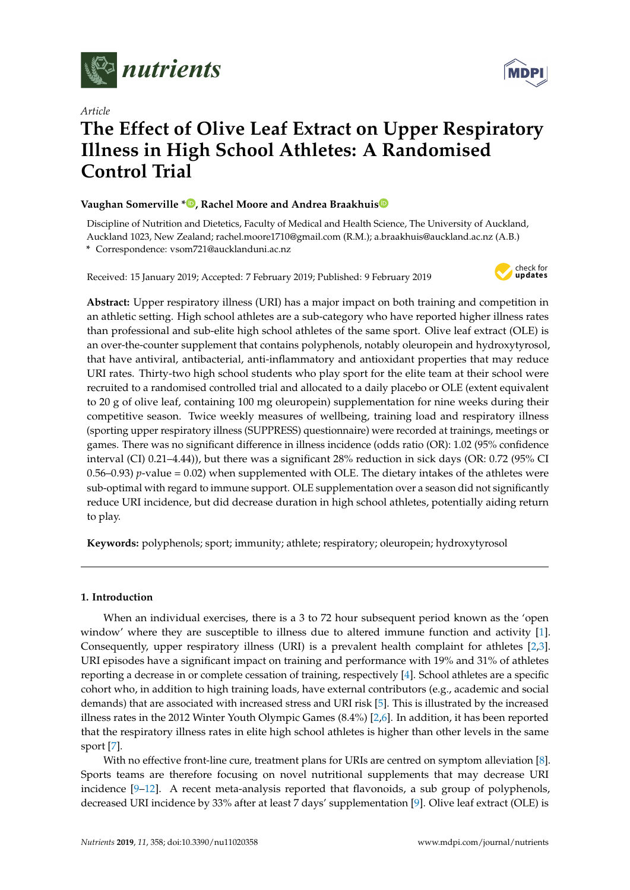

*Article*

# **MDP**

# **The Effect of Olive Leaf Extract on Upper Respiratory Illness in High School Athletes: A Randomised Control Trial**

## **Vaughan Somerville \* [,](https://orcid.org/0000-0002-1980-4135) Rachel Moore and Andrea Braakhui[s](https://orcid.org/0000-0002-6055-0595)**

Discipline of Nutrition and Dietetics, Faculty of Medical and Health Science, The University of Auckland, Auckland 1023, New Zealand; rachel.moore1710@gmail.com (R.M.); a.braakhuis@auckland.ac.nz (A.B.) **\*** Correspondence: vsom721@aucklanduni.ac.nz

Received: 15 January 2019; Accepted: 7 February 2019; Published: 9 February 2019



**Abstract:** Upper respiratory illness (URI) has a major impact on both training and competition in an athletic setting. High school athletes are a sub-category who have reported higher illness rates than professional and sub-elite high school athletes of the same sport. Olive leaf extract (OLE) is an over-the-counter supplement that contains polyphenols, notably oleuropein and hydroxytyrosol, that have antiviral, antibacterial, anti-inflammatory and antioxidant properties that may reduce URI rates. Thirty-two high school students who play sport for the elite team at their school were recruited to a randomised controlled trial and allocated to a daily placebo or OLE (extent equivalent to 20 g of olive leaf, containing 100 mg oleuropein) supplementation for nine weeks during their competitive season. Twice weekly measures of wellbeing, training load and respiratory illness (sporting upper respiratory illness (SUPPRESS) questionnaire) were recorded at trainings, meetings or games. There was no significant difference in illness incidence (odds ratio (OR): 1.02 (95% confidence interval (CI) 0.21–4.44)), but there was a significant 28% reduction in sick days (OR: 0.72 (95% CI 0.56–0.93)  $p$ -value = 0.02) when supplemented with OLE. The dietary intakes of the athletes were sub-optimal with regard to immune support. OLE supplementation over a season did not significantly reduce URI incidence, but did decrease duration in high school athletes, potentially aiding return to play.

**Keywords:** polyphenols; sport; immunity; athlete; respiratory; oleuropein; hydroxytyrosol

# **1. Introduction**

When an individual exercises, there is a 3 to 72 hour subsequent period known as the 'open window' where they are susceptible to illness due to altered immune function and activity [\[1\]](#page-7-0). Consequently, upper respiratory illness (URI) is a prevalent health complaint for athletes [\[2,](#page-7-1)[3\]](#page-7-2). URI episodes have a significant impact on training and performance with 19% and 31% of athletes reporting a decrease in or complete cessation of training, respectively [\[4\]](#page-7-3). School athletes are a specific cohort who, in addition to high training loads, have external contributors (e.g., academic and social demands) that are associated with increased stress and URI risk [\[5\]](#page-7-4). This is illustrated by the increased illness rates in the 2012 Winter Youth Olympic Games (8.4%) [\[2](#page-7-1)[,6\]](#page-7-5). In addition, it has been reported that the respiratory illness rates in elite high school athletes is higher than other levels in the same sport [\[7\]](#page-8-0).

With no effective front-line cure, treatment plans for URIs are centred on symptom alleviation [\[8\]](#page-8-1). Sports teams are therefore focusing on novel nutritional supplements that may decrease URI incidence [\[9–](#page-8-2)[12\]](#page-8-3). A recent meta-analysis reported that flavonoids, a sub group of polyphenols, decreased URI incidence by 33% after at least 7 days' supplementation [\[9\]](#page-8-2). Olive leaf extract (OLE) is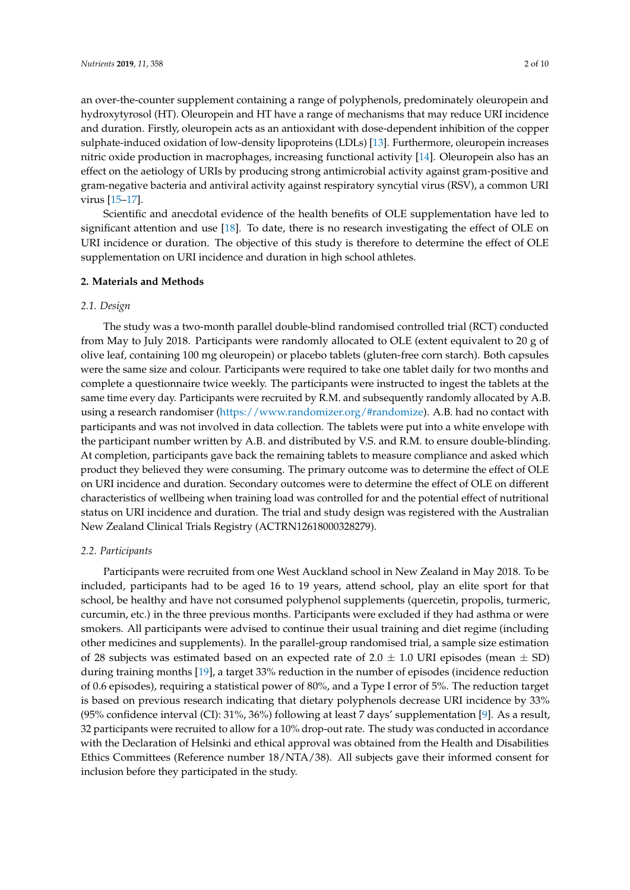an over-the-counter supplement containing a range of polyphenols, predominately oleuropein and hydroxytyrosol (HT). Oleuropein and HT have a range of mechanisms that may reduce URI incidence and duration. Firstly, oleuropein acts as an antioxidant with dose-dependent inhibition of the copper sulphate-induced oxidation of low-density lipoproteins (LDLs) [\[13\]](#page-8-4). Furthermore, oleuropein increases nitric oxide production in macrophages, increasing functional activity [\[14\]](#page-8-5). Oleuropein also has an effect on the aetiology of URIs by producing strong antimicrobial activity against gram-positive and gram-negative bacteria and antiviral activity against respiratory syncytial virus (RSV), a common URI virus [\[15–](#page-8-6)[17\]](#page-8-7).

Scientific and anecdotal evidence of the health benefits of OLE supplementation have led to significant attention and use [\[18\]](#page-8-8). To date, there is no research investigating the effect of OLE on URI incidence or duration. The objective of this study is therefore to determine the effect of OLE supplementation on URI incidence and duration in high school athletes.

#### **2. Materials and Methods**

#### *2.1. Design*

The study was a two-month parallel double-blind randomised controlled trial (RCT) conducted from May to July 2018. Participants were randomly allocated to OLE (extent equivalent to 20 g of olive leaf, containing 100 mg oleuropein) or placebo tablets (gluten-free corn starch). Both capsules were the same size and colour. Participants were required to take one tablet daily for two months and complete a questionnaire twice weekly. The participants were instructed to ingest the tablets at the same time every day. Participants were recruited by R.M. and subsequently randomly allocated by A.B. using a research randomiser [\(https://www.randomizer.org/#randomize\)](https://www.randomizer.org/#randomize). A.B. had no contact with participants and was not involved in data collection. The tablets were put into a white envelope with the participant number written by A.B. and distributed by V.S. and R.M. to ensure double-blinding. At completion, participants gave back the remaining tablets to measure compliance and asked which product they believed they were consuming. The primary outcome was to determine the effect of OLE on URI incidence and duration. Secondary outcomes were to determine the effect of OLE on different characteristics of wellbeing when training load was controlled for and the potential effect of nutritional status on URI incidence and duration. The trial and study design was registered with the Australian New Zealand Clinical Trials Registry (ACTRN12618000328279).

#### *2.2. Participants*

Participants were recruited from one West Auckland school in New Zealand in May 2018. To be included, participants had to be aged 16 to 19 years, attend school, play an elite sport for that school, be healthy and have not consumed polyphenol supplements (quercetin, propolis, turmeric, curcumin, etc.) in the three previous months. Participants were excluded if they had asthma or were smokers. All participants were advised to continue their usual training and diet regime (including other medicines and supplements). In the parallel-group randomised trial, a sample size estimation of 28 subjects was estimated based on an expected rate of  $2.0 \pm 1.0$  URI episodes (mean  $\pm$  SD) during training months [\[19\]](#page-8-9), a target 33% reduction in the number of episodes (incidence reduction of 0.6 episodes), requiring a statistical power of 80%, and a Type I error of 5%. The reduction target is based on previous research indicating that dietary polyphenols decrease URI incidence by 33% (95% confidence interval (CI): 31%, 36%) following at least 7 days' supplementation [\[9\]](#page-8-2). As a result, 32 participants were recruited to allow for a 10% drop-out rate. The study was conducted in accordance with the Declaration of Helsinki and ethical approval was obtained from the Health and Disabilities Ethics Committees (Reference number 18/NTA/38). All subjects gave their informed consent for inclusion before they participated in the study.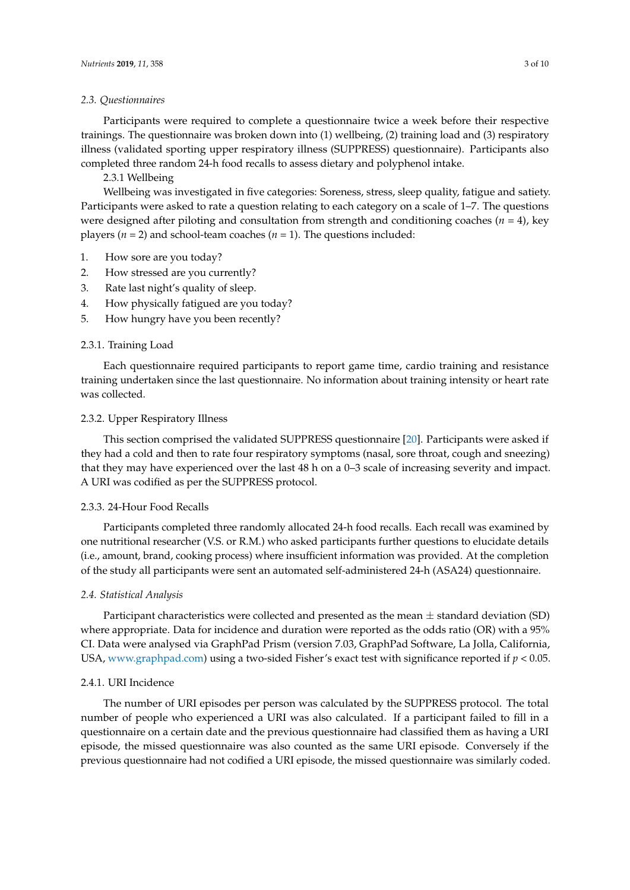#### *2.3. Questionnaires*

Participants were required to complete a questionnaire twice a week before their respective trainings. The questionnaire was broken down into (1) wellbeing, (2) training load and (3) respiratory illness (validated sporting upper respiratory illness (SUPPRESS) questionnaire). Participants also completed three random 24-h food recalls to assess dietary and polyphenol intake.

2.3.1 Wellbeing

Wellbeing was investigated in five categories: Soreness, stress, sleep quality, fatigue and satiety. Participants were asked to rate a question relating to each category on a scale of 1–7. The questions were designed after piloting and consultation from strength and conditioning coaches (*n* = 4), key players ( $n = 2$ ) and school-team coaches ( $n = 1$ ). The questions included:

- 1. How sore are you today?
- 2. How stressed are you currently?
- 3. Rate last night's quality of sleep.
- 4. How physically fatigued are you today?
- 5. How hungry have you been recently?

#### 2.3.1. Training Load

Each questionnaire required participants to report game time, cardio training and resistance training undertaken since the last questionnaire. No information about training intensity or heart rate was collected.

#### 2.3.2. Upper Respiratory Illness

This section comprised the validated SUPPRESS questionnaire [\[20\]](#page-8-10). Participants were asked if they had a cold and then to rate four respiratory symptoms (nasal, sore throat, cough and sneezing) that they may have experienced over the last 48 h on a 0–3 scale of increasing severity and impact. A URI was codified as per the SUPPRESS protocol.

#### 2.3.3. 24-Hour Food Recalls

Participants completed three randomly allocated 24-h food recalls. Each recall was examined by one nutritional researcher (V.S. or R.M.) who asked participants further questions to elucidate details (i.e., amount, brand, cooking process) where insufficient information was provided. At the completion of the study all participants were sent an automated self-administered 24-h (ASA24) questionnaire.

#### *2.4. Statistical Analysis*

Participant characteristics were collected and presented as the mean  $\pm$  standard deviation (SD) where appropriate. Data for incidence and duration were reported as the odds ratio (OR) with a 95% CI. Data were analysed via GraphPad Prism (version 7.03, GraphPad Software, La Jolla, California, USA, [www.graphpad.com\)](www.graphpad.com) using a two-sided Fisher's exact test with significance reported if *p* < 0.05.

#### 2.4.1. URI Incidence

The number of URI episodes per person was calculated by the SUPPRESS protocol. The total number of people who experienced a URI was also calculated. If a participant failed to fill in a questionnaire on a certain date and the previous questionnaire had classified them as having a URI episode, the missed questionnaire was also counted as the same URI episode. Conversely if the previous questionnaire had not codified a URI episode, the missed questionnaire was similarly coded.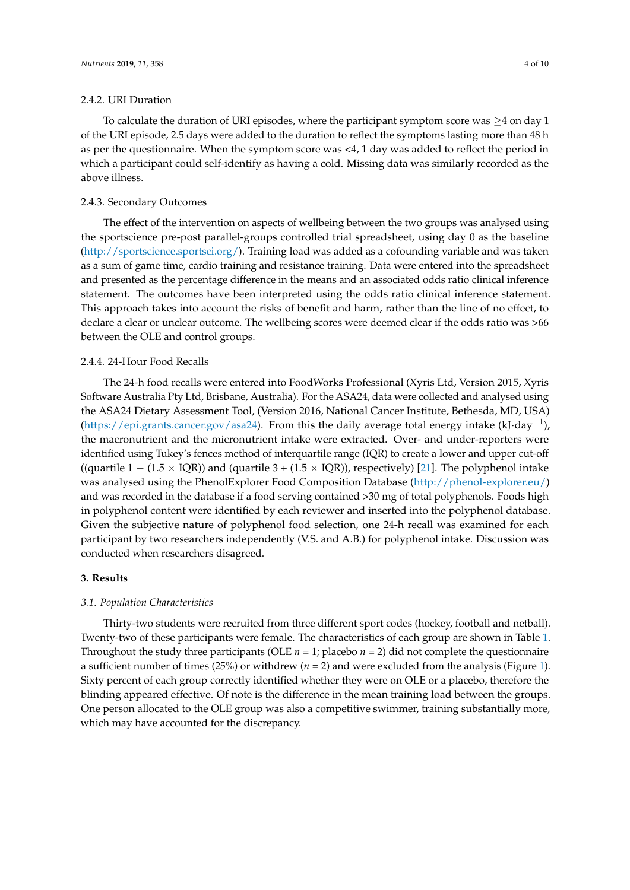#### 2.4.2. URI Duration

To calculate the duration of URI episodes, where the participant symptom score was  $\geq 4$  on day 1 of the URI episode, 2.5 days were added to the duration to reflect the symptoms lasting more than 48 h as per the questionnaire. When the symptom score was <4, 1 day was added to reflect the period in which a participant could self-identify as having a cold. Missing data was similarly recorded as the above illness.

## 2.4.3. Secondary Outcomes

The effect of the intervention on aspects of wellbeing between the two groups was analysed using the sportscience pre-post parallel-groups controlled trial spreadsheet, using day 0 as the baseline [\(http://sportscience.sportsci.org/\)](http://sportscience.sportsci.org/). Training load was added as a cofounding variable and was taken as a sum of game time, cardio training and resistance training. Data were entered into the spreadsheet and presented as the percentage difference in the means and an associated odds ratio clinical inference statement. The outcomes have been interpreted using the odds ratio clinical inference statement. This approach takes into account the risks of benefit and harm, rather than the line of no effect, to declare a clear or unclear outcome. The wellbeing scores were deemed clear if the odds ratio was >66 between the OLE and control groups.

#### 2.4.4. 24-Hour Food Recalls

The 24-h food recalls were entered into FoodWorks Professional (Xyris Ltd, Version 2015, Xyris Software Australia Pty Ltd, Brisbane, Australia). For the ASA24, data were collected and analysed using the ASA24 Dietary Assessment Tool, (Version 2016, National Cancer Institute, Bethesda, MD, USA) [\(https://epi.grants.cancer.gov/asa24\)](https://epi.grants.cancer.gov/asa24). From this the daily average total energy intake (kJ·day<sup>-1</sup>), the macronutrient and the micronutrient intake were extracted. Over- and under-reporters were identified using Tukey's fences method of interquartile range (IQR) to create a lower and upper cut-off ((quartile  $1 - (1.5 \times IQR)$ ) and (quartile  $3 + (1.5 \times IQR)$ ), respectively) [\[21\]](#page-8-11). The polyphenol intake was analysed using the PhenolExplorer Food Composition Database [\(http://phenol-explorer.eu/\)](http://phenol-explorer.eu/) and was recorded in the database if a food serving contained >30 mg of total polyphenols. Foods high in polyphenol content were identified by each reviewer and inserted into the polyphenol database. Given the subjective nature of polyphenol food selection, one 24-h recall was examined for each participant by two researchers independently (V.S. and A.B.) for polyphenol intake. Discussion was conducted when researchers disagreed.

#### **3. Results**

#### *3.1. Population Characteristics*

Thirty-two students were recruited from three different sport codes (hockey, football and netball). Twenty-two of these participants were female. The characteristics of each group are shown in Table [1.](#page-4-0) Throughout the study three participants (OLE  $n = 1$ ; placebo  $n = 2$ ) did not complete the questionnaire a sufficient number of times (25%) or withdrew (*n* = 2) and were excluded from the analysis (Figure [1\)](#page-4-1). Sixty percent of each group correctly identified whether they were on OLE or a placebo, therefore the blinding appeared effective. Of note is the difference in the mean training load between the groups. One person allocated to the OLE group was also a competitive swimmer, training substantially more, which may have accounted for the discrepancy.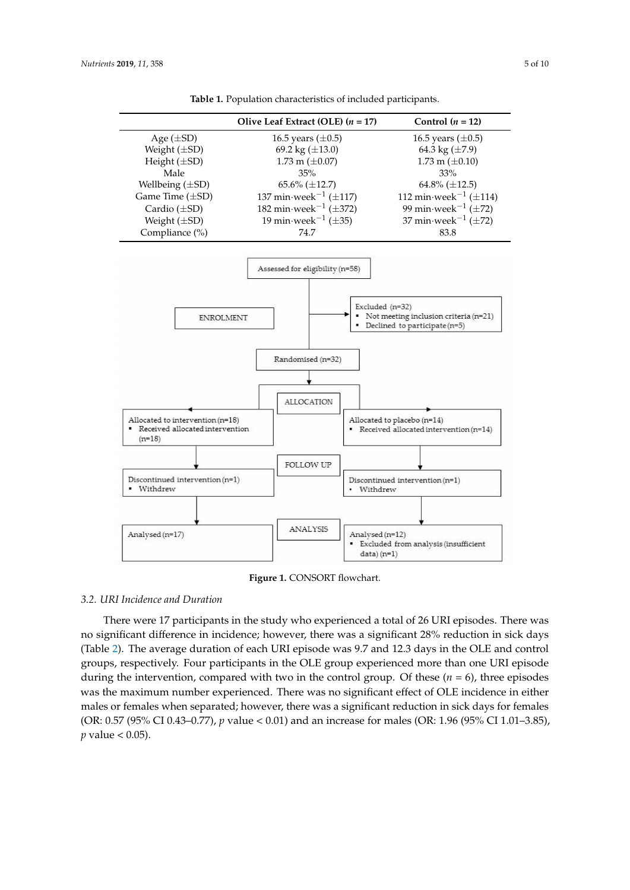<span id="page-4-1"></span><span id="page-4-0"></span>

| Table 1. Population characteristics of included participants. |  |
|---------------------------------------------------------------|--|
|---------------------------------------------------------------|--|

**Figure 1.** CONSORT flowchart.

#### *3.2. URI Incidence and Duration*

There were 17 participants in the study who experienced a total of 26 URI episodes. There was no significant difference in incidence; however, there was a significant 28% reduction in sick days (Table [2\)](#page-5-0). The average duration of each URI episode was 9.7 and 12.3 days in the OLE and control groups, respectively. Four participants in the OLE group experienced more than one URI episode during the intervention, compared with two in the control group. Of these  $(n = 6)$ , three episodes was the maximum number experienced. There was no significant effect of OLE incidence in either males or females when separated; however, there was a significant reduction in sick days for females (OR: 0.57 (95% CI 0.43–0.77), *p* value < 0.01) and an increase for males (OR: 1.96 (95% CI 1.01–3.85),  $p$  value  $< 0.05$ ).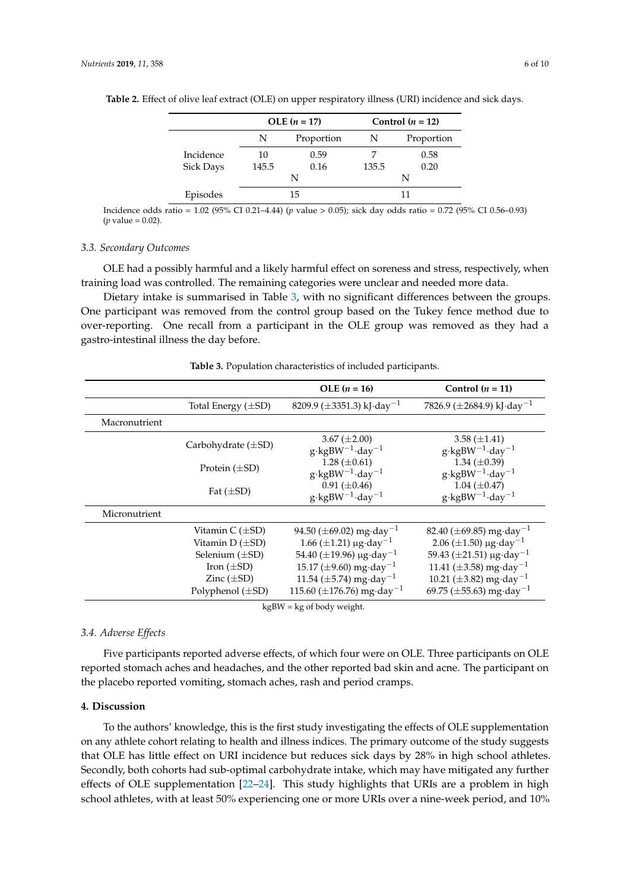|                  | $OLE (n = 17)$ |            | Control $(n = 12)$ |            |
|------------------|----------------|------------|--------------------|------------|
|                  | N              | Proportion | N                  | Proportion |
| Incidence        | 10             | 0.59       |                    | 0.58       |
| <b>Sick Days</b> | 145.5          | 0.16       | 135.5              | 0.20       |
|                  |                | N          |                    | N          |
| Episodes         | 15             |            |                    |            |

<span id="page-5-0"></span>**Table 2.** Effect of olive leaf extract (OLE) on upper respiratory illness (URI) incidence and sick days.

Incidence odds ratio = 1.02 (95% CI 0.21–4.44) (*p* value > 0.05); sick day odds ratio = 0.72 (95% CI 0.56–0.93) (*p* value = 0.02).

#### *3.3. Secondary Outcomes*

OLE had a possibly harmful and a likely harmful effect on soreness and stress, respectively, when training load was controlled. The remaining categories were unclear and needed more data.

Dietary intake is summarised in Table [3,](#page-5-1) with no significant differences between the groups. One participant was removed from the control group based on the Tukey fence method due to over-reporting. One recall from a participant in the OLE group was removed as they had a gastro-intestinal illness the day before.

<span id="page-5-1"></span>

|               |                         | $OLE (n = 16)$                                            | Control $(n = 11)$                                      |  |
|---------------|-------------------------|-----------------------------------------------------------|---------------------------------------------------------|--|
|               | Total Energy $(\pm SD)$ | 8209.9 ( $\pm$ 3351.3) kJ·day <sup>-1</sup>               | 7826.9 ( $\pm$ 2684.9) kJ·day <sup>-1</sup>             |  |
| Macronutrient |                         |                                                           |                                                         |  |
|               | Carbohydrate $(\pm SD)$ | 3.67 ( $\pm 2.00$ )<br>$g \cdot kgBW^{-1} \cdot day^{-1}$ | 3.58 $(\pm 1.41)$<br>$g \cdot kgBW^{-1} \cdot day^{-1}$ |  |
|               | Protein $(\pm SD)$      | 1.28 $(\pm 0.61)$<br>$g \cdot kgBW^{-1} \cdot day^{-1}$   | 1.34 $(\pm 0.39)$<br>$g \cdot kgBW^{-1} \cdot day^{-1}$ |  |
|               | Fat $(\pm SD)$          | $0.91 (\pm 0.46)$<br>$g \cdot kgBW^{-1} \cdot day^{-1}$   | 1.04 $(\pm 0.47)$<br>$g \cdot kgBW^{-1} \cdot day^{-1}$ |  |
| Micronutrient |                         |                                                           |                                                         |  |
|               | Vitamin C (±SD)         | 94.50 ( $\pm$ 69.02) mg·day <sup>-1</sup>                 | 82.40 ( $\pm$ 69.85) mg·day <sup>-1</sup>               |  |
|               | Vitamin D $(\pm SD)$    | $1.66 \ (\pm 1.21) \ \mu g \cdot \text{day}^{-1}$         | 2.06 ( $\pm$ 1.50) µg·day <sup>-1</sup>                 |  |
|               | Selenium $(\pm SD)$     | 54.40 ( $\pm$ 19.96) µg·day <sup>-1</sup>                 | $59.43 \ (\pm 21.51) \ \mu g \cdot day^{-1}$            |  |
|               | Iron $(\pm SD)$         | 15.17 ( $\pm$ 9.60) mg·day <sup>-1</sup>                  | 11.41 ( $\pm$ 3.58) mg·day <sup>-1</sup>                |  |
|               | Zinc $(\pm SD)$         | 11.54 ( $\pm$ 5.74) mg·day <sup>-1</sup>                  | 10.21 ( $\pm$ 3.82) mg·day <sup>-1</sup>                |  |
|               | Polyphenol $(\pm SD)$   | 115.60 ( $\pm$ 176.76) mg·day <sup>-1</sup>               | 69.75 ( $\pm$ 55.63) mg·day <sup>-1</sup>               |  |

**Table 3.** Population characteristics of included participants.

kgBW = kg of body weight.

#### *3.4. Adverse Effects*

Five participants reported adverse effects, of which four were on OLE. Three participants on OLE reported stomach aches and headaches, and the other reported bad skin and acne. The participant on the placebo reported vomiting, stomach aches, rash and period cramps.

#### **4. Discussion**

To the authors' knowledge, this is the first study investigating the effects of OLE supplementation on any athlete cohort relating to health and illness indices. The primary outcome of the study suggests that OLE has little effect on URI incidence but reduces sick days by 28% in high school athletes. Secondly, both cohorts had sub-optimal carbohydrate intake, which may have mitigated any further effects of OLE supplementation [\[22](#page-8-12)[–24\]](#page-8-13). This study highlights that URIs are a problem in high school athletes, with at least 50% experiencing one or more URIs over a nine-week period, and 10%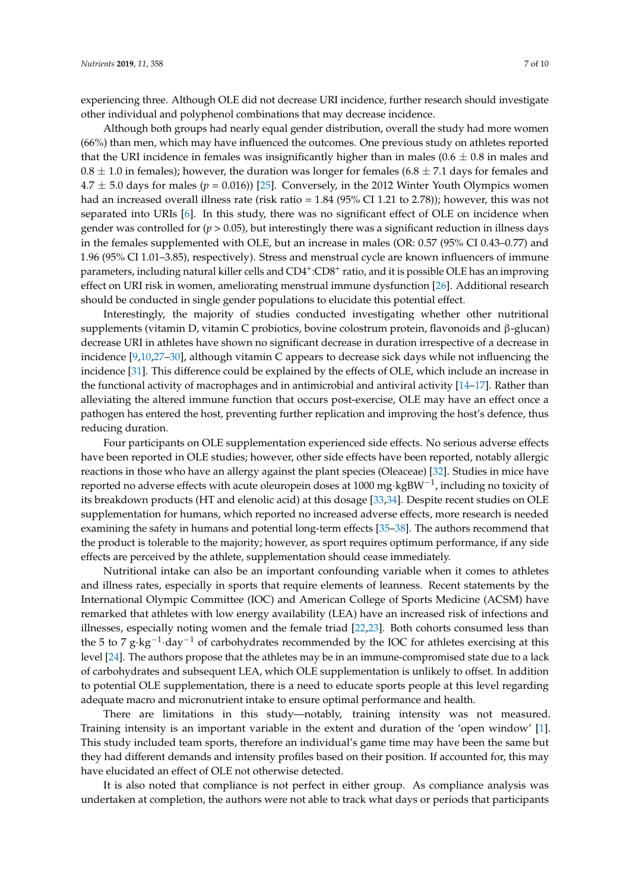experiencing three. Although OLE did not decrease URI incidence, further research should investigate other individual and polyphenol combinations that may decrease incidence.

Although both groups had nearly equal gender distribution, overall the study had more women (66%) than men, which may have influenced the outcomes. One previous study on athletes reported that the URI incidence in females was insignificantly higher than in males  $(0.6 \pm 0.8$  in males and  $0.8 \pm 1.0$  in females); however, the duration was longer for females (6.8  $\pm$  7.1 days for females and  $4.7 \pm 5.0$  days for males ( $p = 0.016$ ) [\[25\]](#page-8-14). Conversely, in the 2012 Winter Youth Olympics women had an increased overall illness rate (risk ratio = 1.84 (95% CI 1.21 to 2.78)); however, this was not separated into URIs [\[6\]](#page-7-5). In this study, there was no significant effect of OLE on incidence when gender was controlled for (*p* > 0.05), but interestingly there was a significant reduction in illness days in the females supplemented with OLE, but an increase in males (OR: 0.57 (95% CI 0.43–0.77) and 1.96 (95% CI 1.01–3.85), respectively). Stress and menstrual cycle are known influencers of immune parameters, including natural killer cells and CD4<sup>+</sup>:CD8<sup>+</sup> ratio, and it is possible OLE has an improving effect on URI risk in women, ameliorating menstrual immune dysfunction [\[26\]](#page-8-15). Additional research should be conducted in single gender populations to elucidate this potential effect.

Interestingly, the majority of studies conducted investigating whether other nutritional supplements (vitamin D, vitamin C probiotics, bovine colostrum protein, flavonoids and β-glucan) decrease URI in athletes have shown no significant decrease in duration irrespective of a decrease in incidence [\[9](#page-8-2)[,10](#page-8-16)[,27](#page-8-17)[–30\]](#page-9-0), although vitamin C appears to decrease sick days while not influencing the incidence [\[31\]](#page-9-1). This difference could be explained by the effects of OLE, which include an increase in the functional activity of macrophages and in antimicrobial and antiviral activity [\[14–](#page-8-5)[17\]](#page-8-7). Rather than alleviating the altered immune function that occurs post-exercise, OLE may have an effect once a pathogen has entered the host, preventing further replication and improving the host's defence, thus reducing duration.

Four participants on OLE supplementation experienced side effects. No serious adverse effects have been reported in OLE studies; however, other side effects have been reported, notably allergic reactions in those who have an allergy against the plant species (Oleaceae) [\[32\]](#page-9-2). Studies in mice have reported no adverse effects with acute oleuropein doses at 1000 mg·kgBW $^{-1}$ , including no toxicity of its breakdown products (HT and elenolic acid) at this dosage [\[33](#page-9-3)[,34\]](#page-9-4). Despite recent studies on OLE supplementation for humans, which reported no increased adverse effects, more research is needed examining the safety in humans and potential long-term effects [\[35](#page-9-5)[–38\]](#page-9-6). The authors recommend that the product is tolerable to the majority; however, as sport requires optimum performance, if any side effects are perceived by the athlete, supplementation should cease immediately.

Nutritional intake can also be an important confounding variable when it comes to athletes and illness rates, especially in sports that require elements of leanness. Recent statements by the International Olympic Committee (IOC) and American College of Sports Medicine (ACSM) have remarked that athletes with low energy availability (LEA) have an increased risk of infections and illnesses, especially noting women and the female triad [\[22](#page-8-12)[,23\]](#page-8-18). Both cohorts consumed less than the 5 to 7 g⋅kg<sup>-1</sup>⋅day<sup>-1</sup> of carbohydrates recommended by the IOC for athletes exercising at this level [\[24\]](#page-8-13). The authors propose that the athletes may be in an immune-compromised state due to a lack of carbohydrates and subsequent LEA, which OLE supplementation is unlikely to offset. In addition to potential OLE supplementation, there is a need to educate sports people at this level regarding adequate macro and micronutrient intake to ensure optimal performance and health.

There are limitations in this study—notably, training intensity was not measured. Training intensity is an important variable in the extent and duration of the 'open window' [\[1\]](#page-7-0). This study included team sports, therefore an individual's game time may have been the same but they had different demands and intensity profiles based on their position. If accounted for, this may have elucidated an effect of OLE not otherwise detected.

It is also noted that compliance is not perfect in either group. As compliance analysis was undertaken at completion, the authors were not able to track what days or periods that participants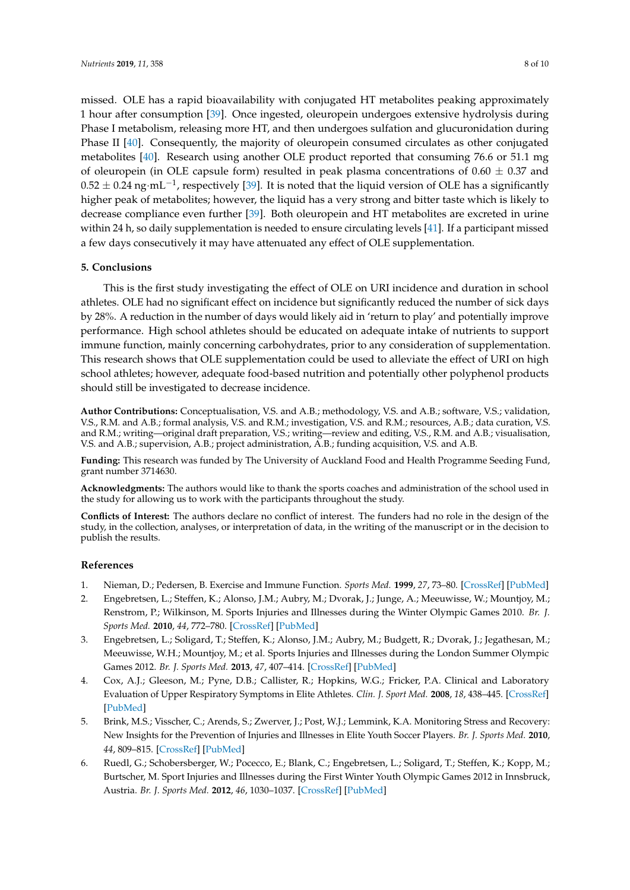missed. OLE has a rapid bioavailability with conjugated HT metabolites peaking approximately 1 hour after consumption [\[39\]](#page-9-7). Once ingested, oleuropein undergoes extensive hydrolysis during Phase I metabolism, releasing more HT, and then undergoes sulfation and glucuronidation during Phase II [\[40\]](#page-9-8). Consequently, the majority of oleuropein consumed circulates as other conjugated metabolites [\[40\]](#page-9-8). Research using another OLE product reported that consuming 76.6 or 51.1 mg of oleuropein (in OLE capsule form) resulted in peak plasma concentrations of  $0.60 \pm 0.37$  and  $0.52\pm0.24$  ng·mL $^{-1}$ , respectively [\[39\]](#page-9-7). It is noted that the liquid version of OLE has a significantly higher peak of metabolites; however, the liquid has a very strong and bitter taste which is likely to decrease compliance even further [\[39\]](#page-9-7). Both oleuropein and HT metabolites are excreted in urine within 24 h, so daily supplementation is needed to ensure circulating levels [\[41\]](#page-9-9). If a participant missed a few days consecutively it may have attenuated any effect of OLE supplementation.

#### **5. Conclusions**

This is the first study investigating the effect of OLE on URI incidence and duration in school athletes. OLE had no significant effect on incidence but significantly reduced the number of sick days by 28%. A reduction in the number of days would likely aid in 'return to play' and potentially improve performance. High school athletes should be educated on adequate intake of nutrients to support immune function, mainly concerning carbohydrates, prior to any consideration of supplementation. This research shows that OLE supplementation could be used to alleviate the effect of URI on high school athletes; however, adequate food-based nutrition and potentially other polyphenol products should still be investigated to decrease incidence.

**Author Contributions:** Conceptualisation, V.S. and A.B.; methodology, V.S. and A.B.; software, V.S.; validation, V.S., R.M. and A.B.; formal analysis, V.S. and R.M.; investigation, V.S. and R.M.; resources, A.B.; data curation, V.S. and R.M.; writing—original draft preparation, V.S.; writing—review and editing, V.S., R.M. and A.B.; visualisation, V.S. and A.B.; supervision, A.B.; project administration, A.B.; funding acquisition, V.S. and A.B.

**Funding:** This research was funded by The University of Auckland Food and Health Programme Seeding Fund, grant number 3714630.

**Acknowledgments:** The authors would like to thank the sports coaches and administration of the school used in the study for allowing us to work with the participants throughout the study.

**Conflicts of Interest:** The authors declare no conflict of interest. The funders had no role in the design of the study, in the collection, analyses, or interpretation of data, in the writing of the manuscript or in the decision to publish the results.

#### **References**

- <span id="page-7-0"></span>1. Nieman, D.; Pedersen, B. Exercise and Immune Function. *Sports Med.* **1999**, *27*, 73–80. [\[CrossRef\]](http://dx.doi.org/10.2165/00007256-199927020-00001) [\[PubMed\]](http://www.ncbi.nlm.nih.gov/pubmed/10091272)
- <span id="page-7-1"></span>2. Engebretsen, L.; Steffen, K.; Alonso, J.M.; Aubry, M.; Dvorak, J.; Junge, A.; Meeuwisse, W.; Mountjoy, M.; Renstrom, P.; Wilkinson, M. Sports Injuries and Illnesses during the Winter Olympic Games 2010. *Br. J. Sports Med.* **2010**, *44*, 772–780. [\[CrossRef\]](http://dx.doi.org/10.1136/bjsm.2010.076992) [\[PubMed\]](http://www.ncbi.nlm.nih.gov/pubmed/20820057)
- <span id="page-7-2"></span>3. Engebretsen, L.; Soligard, T.; Steffen, K.; Alonso, J.M.; Aubry, M.; Budgett, R.; Dvorak, J.; Jegathesan, M.; Meeuwisse, W.H.; Mountjoy, M.; et al. Sports Injuries and Illnesses during the London Summer Olympic Games 2012. *Br. J. Sports Med.* **2013**, *47*, 407–414. [\[CrossRef\]](http://dx.doi.org/10.1136/bjsports-2013-092380) [\[PubMed\]](http://www.ncbi.nlm.nih.gov/pubmed/23515712)
- <span id="page-7-3"></span>4. Cox, A.J.; Gleeson, M.; Pyne, D.B.; Callister, R.; Hopkins, W.G.; Fricker, P.A. Clinical and Laboratory Evaluation of Upper Respiratory Symptoms in Elite Athletes. *Clin. J. Sport Med.* **2008**, *18*, 438–445. [\[CrossRef\]](http://dx.doi.org/10.1097/JSM.0b013e318181e501) [\[PubMed\]](http://www.ncbi.nlm.nih.gov/pubmed/18806552)
- <span id="page-7-4"></span>5. Brink, M.S.; Visscher, C.; Arends, S.; Zwerver, J.; Post, W.J.; Lemmink, K.A. Monitoring Stress and Recovery: New Insights for the Prevention of Injuries and Illnesses in Elite Youth Soccer Players. *Br. J. Sports Med.* **2010**, *44*, 809–815. [\[CrossRef\]](http://dx.doi.org/10.1136/bjsm.2009.069476) [\[PubMed\]](http://www.ncbi.nlm.nih.gov/pubmed/20511621)
- <span id="page-7-5"></span>6. Ruedl, G.; Schobersberger, W.; Pocecco, E.; Blank, C.; Engebretsen, L.; Soligard, T.; Steffen, K.; Kopp, M.; Burtscher, M. Sport Injuries and Illnesses during the First Winter Youth Olympic Games 2012 in Innsbruck, Austria. *Br. J. Sports Med.* **2012**, *46*, 1030–1037. [\[CrossRef\]](http://dx.doi.org/10.1136/bjsports-2012-091534) [\[PubMed\]](http://www.ncbi.nlm.nih.gov/pubmed/23148325)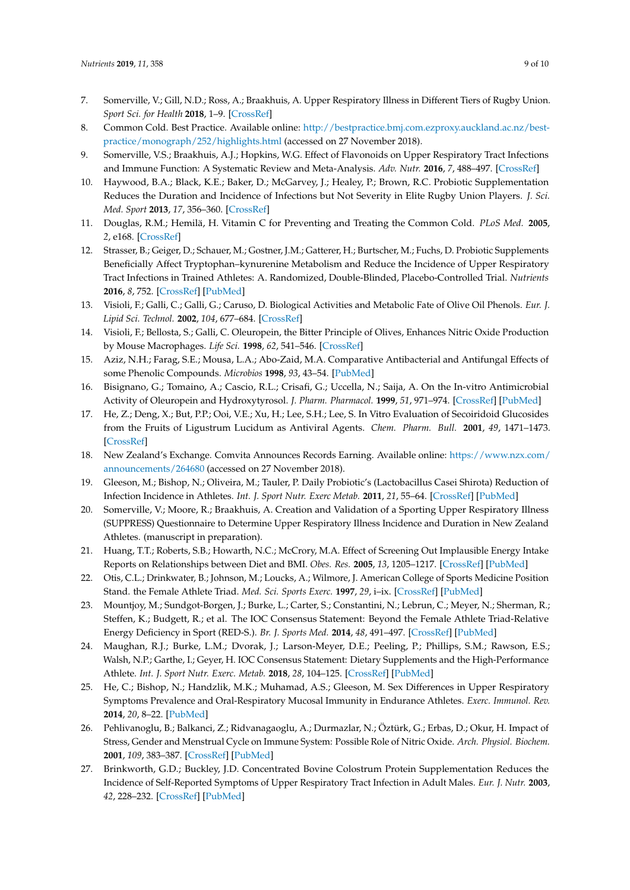- <span id="page-8-0"></span>7. Somerville, V.; Gill, N.D.; Ross, A.; Braakhuis, A. Upper Respiratory Illness in Different Tiers of Rugby Union. *Sport Sci. for Health* **2018**, 1–9. [\[CrossRef\]](http://dx.doi.org/10.1007/s11332-018-0512-8)
- <span id="page-8-1"></span>8. Common Cold. Best Practice. Available online: [http://bestpractice.bmj.com.ezproxy.auckland.ac.nz/best](http://bestpractice.bmj.com.ezproxy.auckland.ac.nz/best-practice/monograph/252/highlights.html)[practice/monograph/252/highlights.html](http://bestpractice.bmj.com.ezproxy.auckland.ac.nz/best-practice/monograph/252/highlights.html) (accessed on 27 November 2018).
- <span id="page-8-2"></span>9. Somerville, V.S.; Braakhuis, A.J.; Hopkins, W.G. Effect of Flavonoids on Upper Respiratory Tract Infections and Immune Function: A Systematic Review and Meta-Analysis. *Adv. Nutr.* **2016**, *7*, 488–497. [\[CrossRef\]](http://dx.doi.org/10.3945/an.115.010538)
- <span id="page-8-16"></span>10. Haywood, B.A.; Black, K.E.; Baker, D.; McGarvey, J.; Healey, P.; Brown, R.C. Probiotic Supplementation Reduces the Duration and Incidence of Infections but Not Severity in Elite Rugby Union Players. *J. Sci. Med. Sport* **2013**, *17*, 356–360. [\[CrossRef\]](http://dx.doi.org/10.1016/j.jsams.2013.08.004)
- 11. Douglas, R.M.; Hemilä, H. Vitamin C for Preventing and Treating the Common Cold. *PLoS Med.* **2005**, *2*, e168. [\[CrossRef\]](http://dx.doi.org/10.1371/journal.pmed.0020168)
- <span id="page-8-3"></span>12. Strasser, B.; Geiger, D.; Schauer, M.; Gostner, J.M.; Gatterer, H.; Burtscher, M.; Fuchs, D. Probiotic Supplements Beneficially Affect Tryptophan–kynurenine Metabolism and Reduce the Incidence of Upper Respiratory Tract Infections in Trained Athletes: A. Randomized, Double-Blinded, Placebo-Controlled Trial. *Nutrients* **2016**, *8*, 752. [\[CrossRef\]](http://dx.doi.org/10.3390/nu8110752) [\[PubMed\]](http://www.ncbi.nlm.nih.gov/pubmed/27886064)
- <span id="page-8-4"></span>13. Visioli, F.; Galli, C.; Galli, G.; Caruso, D. Biological Activities and Metabolic Fate of Olive Oil Phenols. *Eur. J. Lipid Sci. Technol.* **2002**, *104*, 677–684. [\[CrossRef\]](http://dx.doi.org/10.1002/1438-9312(200210)104:9/10<677::AID-EJLT677>3.0.CO;2-M)
- <span id="page-8-5"></span>14. Visioli, F.; Bellosta, S.; Galli, C. Oleuropein, the Bitter Principle of Olives, Enhances Nitric Oxide Production by Mouse Macrophages. *Life Sci.* **1998**, *62*, 541–546. [\[CrossRef\]](http://dx.doi.org/10.1016/S0024-3205(97)01150-8)
- <span id="page-8-6"></span>15. Aziz, N.H.; Farag, S.E.; Mousa, L.A.; Abo-Zaid, M.A. Comparative Antibacterial and Antifungal Effects of some Phenolic Compounds. *Microbios* **1998**, *93*, 43–54. [\[PubMed\]](http://www.ncbi.nlm.nih.gov/pubmed/9670554)
- 16. Bisignano, G.; Tomaino, A.; Cascio, R.L.; Crisafi, G.; Uccella, N.; Saija, A. On the In-vitro Antimicrobial Activity of Oleuropein and Hydroxytyrosol. *J. Pharm. Pharmacol.* **1999**, *51*, 971–974. [\[CrossRef\]](http://dx.doi.org/10.1211/0022357991773258) [\[PubMed\]](http://www.ncbi.nlm.nih.gov/pubmed/10504039)
- <span id="page-8-7"></span>17. He, Z.; Deng, X.; But, P.P.; Ooi, V.E.; Xu, H.; Lee, S.H.; Lee, S. In Vitro Evaluation of Secoiridoid Glucosides from the Fruits of Ligustrum Lucidum as Antiviral Agents. *Chem. Pharm. Bull.* **2001**, *49*, 1471–1473. [\[CrossRef\]](http://dx.doi.org/10.1248/cpb.49.780)
- <span id="page-8-8"></span>18. New Zealand's Exchange. Comvita Announces Records Earning. Available online: [https://www.nzx.com/](https://www.nzx.com/announcements/264680) [announcements/264680](https://www.nzx.com/announcements/264680) (accessed on 27 November 2018).
- <span id="page-8-9"></span>19. Gleeson, M.; Bishop, N.; Oliveira, M.; Tauler, P. Daily Probiotic's (Lactobacillus Casei Shirota) Reduction of Infection Incidence in Athletes. *Int. J. Sport Nutr. Exerc Metab.* **2011**, *21*, 55–64. [\[CrossRef\]](http://dx.doi.org/10.1123/ijsnem.21.1.55) [\[PubMed\]](http://www.ncbi.nlm.nih.gov/pubmed/21411836)
- <span id="page-8-10"></span>20. Somerville, V.; Moore, R.; Braakhuis, A. Creation and Validation of a Sporting Upper Respiratory Illness (SUPPRESS) Questionnaire to Determine Upper Respiratory Illness Incidence and Duration in New Zealand Athletes. (manuscript in preparation).
- <span id="page-8-11"></span>21. Huang, T.T.; Roberts, S.B.; Howarth, N.C.; McCrory, M.A. Effect of Screening Out Implausible Energy Intake Reports on Relationships between Diet and BMI. *Obes. Res.* **2005**, *13*, 1205–1217. [\[CrossRef\]](http://dx.doi.org/10.1038/oby.2005.143) [\[PubMed\]](http://www.ncbi.nlm.nih.gov/pubmed/16076990)
- <span id="page-8-12"></span>22. Otis, C.L.; Drinkwater, B.; Johnson, M.; Loucks, A.; Wilmore, J. American College of Sports Medicine Position Stand. the Female Athlete Triad. *Med. Sci. Sports Exerc.* **1997**, *29*, i–ix. [\[CrossRef\]](http://dx.doi.org/10.1097/00005768-199705000-00037) [\[PubMed\]](http://www.ncbi.nlm.nih.gov/pubmed/9140913)
- <span id="page-8-18"></span>23. Mountjoy, M.; Sundgot-Borgen, J.; Burke, L.; Carter, S.; Constantini, N.; Lebrun, C.; Meyer, N.; Sherman, R.; Steffen, K.; Budgett, R.; et al. The IOC Consensus Statement: Beyond the Female Athlete Triad-Relative Energy Deficiency in Sport (RED-S.). *Br. J. Sports Med.* **2014**, *48*, 491–497. [\[CrossRef\]](http://dx.doi.org/10.1136/bjsports-2014-093502) [\[PubMed\]](http://www.ncbi.nlm.nih.gov/pubmed/24620037)
- <span id="page-8-13"></span>24. Maughan, R.J.; Burke, L.M.; Dvorak, J.; Larson-Meyer, D.E.; Peeling, P.; Phillips, S.M.; Rawson, E.S.; Walsh, N.P.; Garthe, I.; Geyer, H. IOC Consensus Statement: Dietary Supplements and the High-Performance Athlete. *Int. J. Sport Nutr. Exerc. Metab.* **2018**, *28*, 104–125. [\[CrossRef\]](http://dx.doi.org/10.1123/ijsnem.2018-0020) [\[PubMed\]](http://www.ncbi.nlm.nih.gov/pubmed/29589768)
- <span id="page-8-14"></span>25. He, C.; Bishop, N.; Handzlik, M.K.; Muhamad, A.S.; Gleeson, M. Sex Differences in Upper Respiratory Symptoms Prevalence and Oral-Respiratory Mucosal Immunity in Endurance Athletes. *Exerc. Immunol. Rev.* **2014**, *20*, 8–22. [\[PubMed\]](http://www.ncbi.nlm.nih.gov/pubmed/24974718)
- <span id="page-8-15"></span>26. Pehlivanoglu, B.; Balkanci, Z.; Ridvanagaoglu, A.; Durmazlar, N.; Öztürk, G.; Erbas, D.; Okur, H. Impact of Stress, Gender and Menstrual Cycle on Immune System: Possible Role of Nitric Oxide. *Arch. Physiol. Biochem.* **2001**, *109*, 383–387. [\[CrossRef\]](http://dx.doi.org/10.1076/apab.109.4.383.4234) [\[PubMed\]](http://www.ncbi.nlm.nih.gov/pubmed/11935378)
- <span id="page-8-17"></span>27. Brinkworth, G.D.; Buckley, J.D. Concentrated Bovine Colostrum Protein Supplementation Reduces the Incidence of Self-Reported Symptoms of Upper Respiratory Tract Infection in Adult Males. *Eur. J. Nutr.* **2003**, *42*, 228–232. [\[CrossRef\]](http://dx.doi.org/10.1007/s00394-003-0410-x) [\[PubMed\]](http://www.ncbi.nlm.nih.gov/pubmed/12923655)